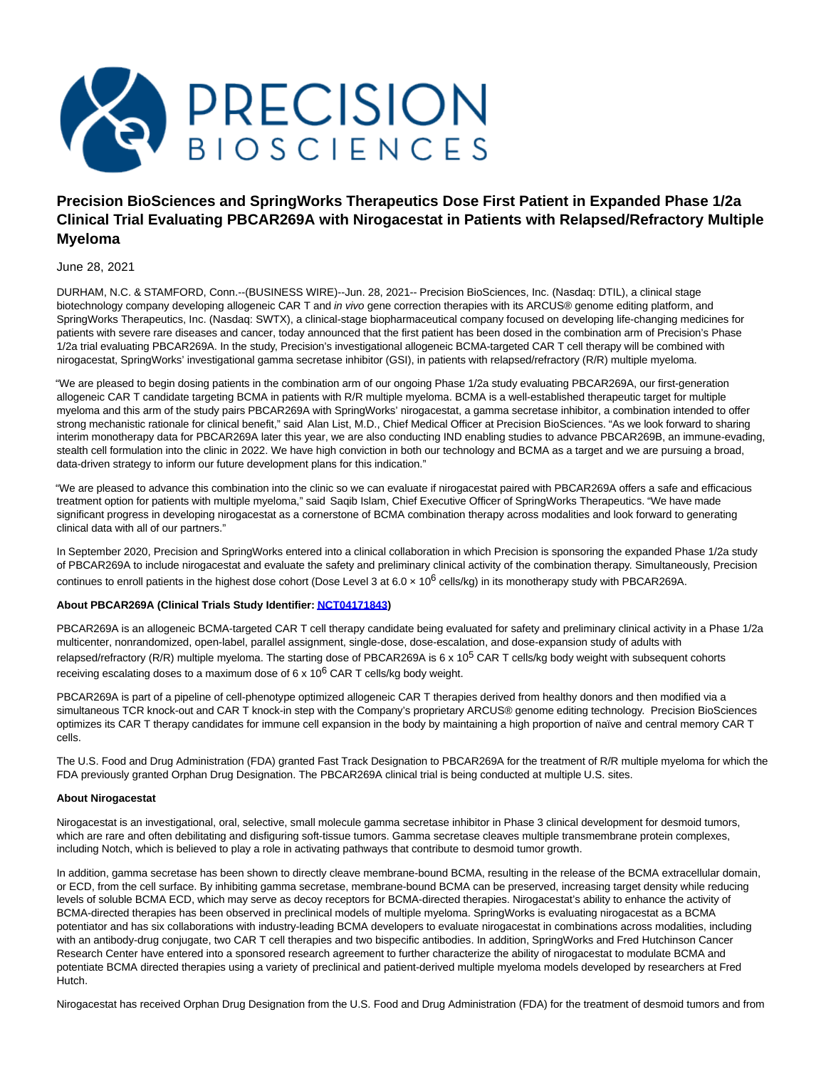

# **Precision BioSciences and SpringWorks Therapeutics Dose First Patient in Expanded Phase 1/2a Clinical Trial Evaluating PBCAR269A with Nirogacestat in Patients with Relapsed/Refractory Multiple Myeloma**

June 28, 2021

DURHAM, N.C. & STAMFORD, Conn.--(BUSINESS WIRE)--Jun. 28, 2021-- Precision BioSciences, Inc. (Nasdaq: DTIL), a clinical stage biotechnology company developing allogeneic CAR T and in vivo gene correction therapies with its ARCUS® genome editing platform, and SpringWorks Therapeutics, Inc. (Nasdaq: SWTX), a clinical-stage biopharmaceutical company focused on developing life-changing medicines for patients with severe rare diseases and cancer, today announced that the first patient has been dosed in the combination arm of Precision's Phase 1/2a trial evaluating PBCAR269A. In the study, Precision's investigational allogeneic BCMA-targeted CAR T cell therapy will be combined with nirogacestat, SpringWorks' investigational gamma secretase inhibitor (GSI), in patients with relapsed/refractory (R/R) multiple myeloma.

"We are pleased to begin dosing patients in the combination arm of our ongoing Phase 1/2a study evaluating PBCAR269A, our first-generation allogeneic CAR T candidate targeting BCMA in patients with R/R multiple myeloma. BCMA is a well-established therapeutic target for multiple myeloma and this arm of the study pairs PBCAR269A with SpringWorks' nirogacestat, a gamma secretase inhibitor, a combination intended to offer strong mechanistic rationale for clinical benefit," said Alan List, M.D., Chief Medical Officer at Precision BioSciences. "As we look forward to sharing interim monotherapy data for PBCAR269A later this year, we are also conducting IND enabling studies to advance PBCAR269B, an immune-evading, stealth cell formulation into the clinic in 2022. We have high conviction in both our technology and BCMA as a target and we are pursuing a broad, data-driven strategy to inform our future development plans for this indication."

"We are pleased to advance this combination into the clinic so we can evaluate if nirogacestat paired with PBCAR269A offers a safe and efficacious treatment option for patients with multiple myeloma," said Saqib Islam, Chief Executive Officer of SpringWorks Therapeutics. "We have made significant progress in developing nirogacestat as a cornerstone of BCMA combination therapy across modalities and look forward to generating clinical data with all of our partners."

In September 2020, Precision and SpringWorks entered into a clinical collaboration in which Precision is sponsoring the expanded Phase 1/2a study of PBCAR269A to include nirogacestat and evaluate the safety and preliminary clinical activity of the combination therapy. Simultaneously, Precision continues to enroll patients in the highest dose cohort (Dose Level 3 at  $6.0 \times 10^6$  cells/kg) in its monotherapy study with PBCAR269A.

## **About PBCAR269A (Clinical Trials Study Identifier[: NCT04171843\)](https://cts.businesswire.com/ct/CT?id=smartlink&url=https%3A%2F%2Fwww.clinicaltrials.gov%2Fct2%2Fshow%2FNCT04171843&esheet=52451759&newsitemid=20210628005177&lan=en-US&anchor=NCT04171843&index=1&md5=806608f7fe9d904214907c2232a2b84e)**

PBCAR269A is an allogeneic BCMA-targeted CAR T cell therapy candidate being evaluated for safety and preliminary clinical activity in a Phase 1/2a multicenter, nonrandomized, open-label, parallel assignment, single-dose, dose-escalation, and dose-expansion study of adults with relapsed/refractory (R/R) multiple myeloma. The starting dose of PBCAR269A is 6 x 10<sup>5</sup> CAR T cells/kg body weight with subsequent cohorts receiving escalating doses to a maximum dose of  $6 \times 10^6$  CAR T cells/kg body weight.

PBCAR269A is part of a pipeline of cell-phenotype optimized allogeneic CAR T therapies derived from healthy donors and then modified via a simultaneous TCR knock-out and CAR T knock-in step with the Company's proprietary ARCUS® genome editing technology. Precision BioSciences optimizes its CAR T therapy candidates for immune cell expansion in the body by maintaining a high proportion of naïve and central memory CAR T cells.

The U.S. Food and Drug Administration (FDA) granted Fast Track Designation to PBCAR269A for the treatment of R/R multiple myeloma for which the FDA previously granted Orphan Drug Designation. The PBCAR269A clinical trial is being conducted at multiple U.S. sites.

## **About Nirogacestat**

Nirogacestat is an investigational, oral, selective, small molecule gamma secretase inhibitor in Phase 3 clinical development for desmoid tumors, which are rare and often debilitating and disfiguring soft-tissue tumors. Gamma secretase cleaves multiple transmembrane protein complexes, including Notch, which is believed to play a role in activating pathways that contribute to desmoid tumor growth.

In addition, gamma secretase has been shown to directly cleave membrane-bound BCMA, resulting in the release of the BCMA extracellular domain, or ECD, from the cell surface. By inhibiting gamma secretase, membrane-bound BCMA can be preserved, increasing target density while reducing levels of soluble BCMA ECD, which may serve as decoy receptors for BCMA-directed therapies. Nirogacestat's ability to enhance the activity of BCMA-directed therapies has been observed in preclinical models of multiple myeloma. SpringWorks is evaluating nirogacestat as a BCMA potentiator and has six collaborations with industry-leading BCMA developers to evaluate nirogacestat in combinations across modalities, including with an antibody-drug conjugate, two CAR T cell therapies and two bispecific antibodies. In addition, SpringWorks and Fred Hutchinson Cancer Research Center have entered into a sponsored research agreement to further characterize the ability of nirogacestat to modulate BCMA and potentiate BCMA directed therapies using a variety of preclinical and patient-derived multiple myeloma models developed by researchers at Fred Hutch.

Nirogacestat has received Orphan Drug Designation from the U.S. Food and Drug Administration (FDA) for the treatment of desmoid tumors and from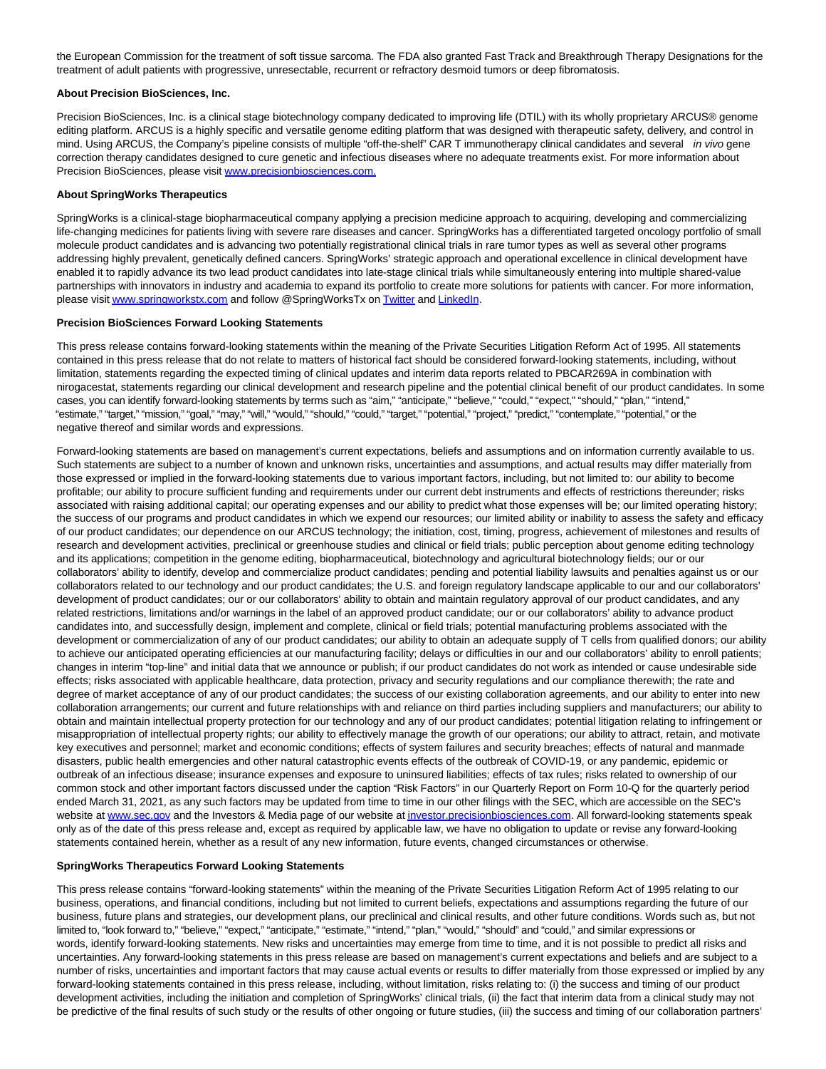the European Commission for the treatment of soft tissue sarcoma. The FDA also granted Fast Track and Breakthrough Therapy Designations for the treatment of adult patients with progressive, unresectable, recurrent or refractory desmoid tumors or deep fibromatosis.

## **About Precision BioSciences, Inc.**

Precision BioSciences, Inc. is a clinical stage biotechnology company dedicated to improving life (DTIL) with its wholly proprietary ARCUS® genome editing platform. ARCUS is a highly specific and versatile genome editing platform that was designed with therapeutic safety, delivery, and control in mind. Using ARCUS, the Company's pipeline consists of multiple "off-the-shelf" CAR T immunotherapy clinical candidates and several in vivo gene correction therapy candidates designed to cure genetic and infectious diseases where no adequate treatments exist. For more information about Precision BioSciences, please visi[t www.precisionbiosciences.com.](https://cts.businesswire.com/ct/CT?id=smartlink&url=http%3A%2F%2Fwww.precisionbiosciences.com%2F&esheet=52451759&newsitemid=20210628005177&lan=en-US&anchor=www.precisionbiosciences.com.&index=2&md5=a6089118d9eaa6f0c06dd2f513f3661e)

#### **About SpringWorks Therapeutics**

SpringWorks is a clinical-stage biopharmaceutical company applying a precision medicine approach to acquiring, developing and commercializing life-changing medicines for patients living with severe rare diseases and cancer. SpringWorks has a differentiated targeted oncology portfolio of small molecule product candidates and is advancing two potentially registrational clinical trials in rare tumor types as well as several other programs addressing highly prevalent, genetically defined cancers. SpringWorks' strategic approach and operational excellence in clinical development have enabled it to rapidly advance its two lead product candidates into late-stage clinical trials while simultaneously entering into multiple shared-value partnerships with innovators in industry and academia to expand its portfolio to create more solutions for patients with cancer. For more information, please visi[t www.springworkstx.com a](https://cts.businesswire.com/ct/CT?id=smartlink&url=http%3A%2F%2Fwww.springworkstx.com&esheet=52451759&newsitemid=20210628005177&lan=en-US&anchor=www.springworkstx.com&index=3&md5=e0c8c7374bb4c6e20e13e8beea1ec9c7)nd follow @SpringWorksTx o[n Twitter a](https://cts.businesswire.com/ct/CT?id=smartlink&url=https%3A%2F%2Fwww.globenewswire.com%2FTracker%3Fdata%3Dl7XxOhaAPIWnBCEm0euyIQddOCUbdrQm1qiHr2CMHqpmVCGubm4txL0rHi4e-_uqNm__ky6weO5OOqvXHHVk8w%3D%3D&esheet=52451759&newsitemid=20210628005177&lan=en-US&anchor=Twitter&index=4&md5=f347b7663f1aebdc2edf304adb60d634)n[d LinkedIn.](https://cts.businesswire.com/ct/CT?id=smartlink&url=https%3A%2F%2Fwww.globenewswire.com%2FTracker%3Fdata%3Dfq-tZmu6wWNpnFFkQ2EnLYZxRHA_IqiMo-RMjdsBsEhAcSiVvKcsSkHqd3w8KeYypdQEldxZ6y9H3vWqWTlhQvw6u_xBRCLlAImdB8ptFbleX6SfYYcXfNHlQt5GnCT_&esheet=52451759&newsitemid=20210628005177&lan=en-US&anchor=LinkedIn&index=5&md5=8ad4feb499d63aed57bdf6261fe5b77c)

#### **Precision BioSciences Forward Looking Statements**

This press release contains forward-looking statements within the meaning of the Private Securities Litigation Reform Act of 1995. All statements contained in this press release that do not relate to matters of historical fact should be considered forward-looking statements, including, without limitation, statements regarding the expected timing of clinical updates and interim data reports related to PBCAR269A in combination with nirogacestat, statements regarding our clinical development and research pipeline and the potential clinical benefit of our product candidates. In some cases, you can identify forward-looking statements by terms such as "aim," "anticipate," "believe," "could," "expect," "should," "plan," "intend," "estimate," "target," "mission," "goal," "may," "will," "would," "should," "could," "target," "potential," "project," "predict," "contemplate," "potential," or the negative thereof and similar words and expressions.

Forward-looking statements are based on management's current expectations, beliefs and assumptions and on information currently available to us. Such statements are subject to a number of known and unknown risks, uncertainties and assumptions, and actual results may differ materially from those expressed or implied in the forward-looking statements due to various important factors, including, but not limited to: our ability to become profitable; our ability to procure sufficient funding and requirements under our current debt instruments and effects of restrictions thereunder; risks associated with raising additional capital; our operating expenses and our ability to predict what those expenses will be; our limited operating history; the success of our programs and product candidates in which we expend our resources; our limited ability or inability to assess the safety and efficacy of our product candidates; our dependence on our ARCUS technology; the initiation, cost, timing, progress, achievement of milestones and results of research and development activities, preclinical or greenhouse studies and clinical or field trials; public perception about genome editing technology and its applications; competition in the genome editing, biopharmaceutical, biotechnology and agricultural biotechnology fields; our or our collaborators' ability to identify, develop and commercialize product candidates; pending and potential liability lawsuits and penalties against us or our collaborators related to our technology and our product candidates; the U.S. and foreign regulatory landscape applicable to our and our collaborators' development of product candidates; our or our collaborators' ability to obtain and maintain regulatory approval of our product candidates, and any related restrictions, limitations and/or warnings in the label of an approved product candidate; our or our collaborators' ability to advance product candidates into, and successfully design, implement and complete, clinical or field trials; potential manufacturing problems associated with the development or commercialization of any of our product candidates; our ability to obtain an adequate supply of T cells from qualified donors; our ability to achieve our anticipated operating efficiencies at our manufacturing facility; delays or difficulties in our and our collaborators' ability to enroll patients; changes in interim "top-line" and initial data that we announce or publish; if our product candidates do not work as intended or cause undesirable side effects; risks associated with applicable healthcare, data protection, privacy and security regulations and our compliance therewith; the rate and degree of market acceptance of any of our product candidates; the success of our existing collaboration agreements, and our ability to enter into new collaboration arrangements; our current and future relationships with and reliance on third parties including suppliers and manufacturers; our ability to obtain and maintain intellectual property protection for our technology and any of our product candidates; potential litigation relating to infringement or misappropriation of intellectual property rights; our ability to effectively manage the growth of our operations; our ability to attract, retain, and motivate key executives and personnel; market and economic conditions; effects of system failures and security breaches; effects of natural and manmade disasters, public health emergencies and other natural catastrophic events effects of the outbreak of COVID-19, or any pandemic, epidemic or outbreak of an infectious disease; insurance expenses and exposure to uninsured liabilities; effects of tax rules; risks related to ownership of our common stock and other important factors discussed under the caption "Risk Factors" in our Quarterly Report on Form 10-Q for the quarterly period ended March 31, 2021, as any such factors may be updated from time to time in our other filings with the SEC, which are accessible on the SEC's website at [www.sec.gov a](https://cts.businesswire.com/ct/CT?id=smartlink&url=http%3A%2F%2Fwww.sec.gov&esheet=52451759&newsitemid=20210628005177&lan=en-US&anchor=www.sec.gov&index=6&md5=fc2b8997946134c24d8014b1cf3e3edc)nd the Investors & Media page of our website a[t investor.precisionbiosciences.com.](http://investor.precisionbiosciences.com/) All forward-looking statements speak only as of the date of this press release and, except as required by applicable law, we have no obligation to update or revise any forward-looking statements contained herein, whether as a result of any new information, future events, changed circumstances or otherwise.

## **SpringWorks Therapeutics Forward Looking Statements**

This press release contains "forward-looking statements" within the meaning of the Private Securities Litigation Reform Act of 1995 relating to our business, operations, and financial conditions, including but not limited to current beliefs, expectations and assumptions regarding the future of our business, future plans and strategies, our development plans, our preclinical and clinical results, and other future conditions. Words such as, but not limited to, "look forward to," "believe," "expect," "anticipate," "estimate," "intend," "plan," "would," "should" and "could," and similar expressions or words, identify forward-looking statements. New risks and uncertainties may emerge from time to time, and it is not possible to predict all risks and uncertainties. Any forward-looking statements in this press release are based on management's current expectations and beliefs and are subject to a number of risks, uncertainties and important factors that may cause actual events or results to differ materially from those expressed or implied by any forward-looking statements contained in this press release, including, without limitation, risks relating to: (i) the success and timing of our product development activities, including the initiation and completion of SpringWorks' clinical trials, (ii) the fact that interim data from a clinical study may not be predictive of the final results of such study or the results of other ongoing or future studies, (iii) the success and timing of our collaboration partners'